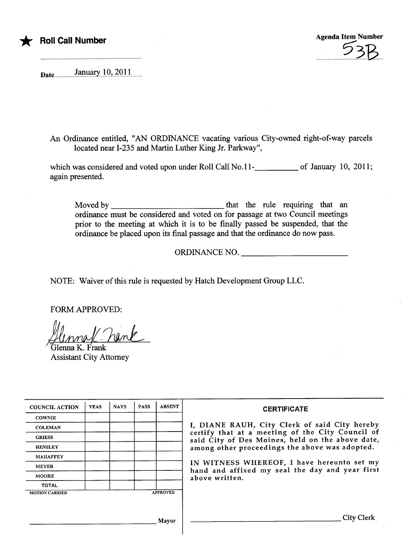

\* Roll Call Number Agenda Item Number Agenda Item Number ...?3B

Date...............JaPi.J.9i..~Q.u........

An Ordinance entitled, "AN ORDINANCE vacating various City-owned right-of-way parcels located near 1-235 and Marin Luther King Jr. Parkway",

which was considered and voted upon under Roll Call No.11 $\frac{1}{2}$  of January 10, 2011; again presented.

Moved by that the rule requinng that an ordinance must be considered and voted on for passage at two Council meetings prior to the meeting at which it is to be finally passed be suspended, that the ordinance be placed upon its final passage and that the ordinance do now pass.

ORDINANCE NO.

NOTE: Waiver of this rule is requested by Hatch Development Group LLC.

FORM APPROVED:

FORM APPROVED:<br>JUMPLL PUNK<br>Glenna K. Frank

Assistant City Attorney

| <b>COUNCIL ACTION</b>                    | <b>YEAS</b> | <b>NAYS</b> | <b>PASS</b> | <b>ABSENT</b> | <b>CERTIFICATE</b>                                                                                                                                                                                                                                                                                                         |
|------------------------------------------|-------------|-------------|-------------|---------------|----------------------------------------------------------------------------------------------------------------------------------------------------------------------------------------------------------------------------------------------------------------------------------------------------------------------------|
| <b>COWNIE</b>                            |             |             |             |               |                                                                                                                                                                                                                                                                                                                            |
| <b>COLEMAN</b>                           |             |             |             |               | I, DIANE RAUH, City Clerk of said City hereby<br>certify that at a meeting of the City Council of<br>said City of Des Moines, held on the above date,<br>among other proceedings the above was adopted.<br>IN WITNESS WHEREOF, I have hereunto set my<br>hand and affixed my seal the day and year first<br>above written. |
| <b>GRIESS</b>                            |             |             |             |               |                                                                                                                                                                                                                                                                                                                            |
| <b>HENSLEY</b>                           |             |             |             |               |                                                                                                                                                                                                                                                                                                                            |
| <b>MAHAFFEY</b>                          |             |             |             |               |                                                                                                                                                                                                                                                                                                                            |
| <b>MEYER</b>                             |             |             |             |               |                                                                                                                                                                                                                                                                                                                            |
| <b>MOORE</b>                             |             |             |             |               |                                                                                                                                                                                                                                                                                                                            |
| <b>TOTAL</b>                             |             |             |             |               |                                                                                                                                                                                                                                                                                                                            |
| <b>APPROVED</b><br><b>MOTION CARRIED</b> |             |             |             |               |                                                                                                                                                                                                                                                                                                                            |
|                                          |             |             |             |               |                                                                                                                                                                                                                                                                                                                            |
| Mavor                                    |             |             |             |               | <b>City Clerk</b>                                                                                                                                                                                                                                                                                                          |